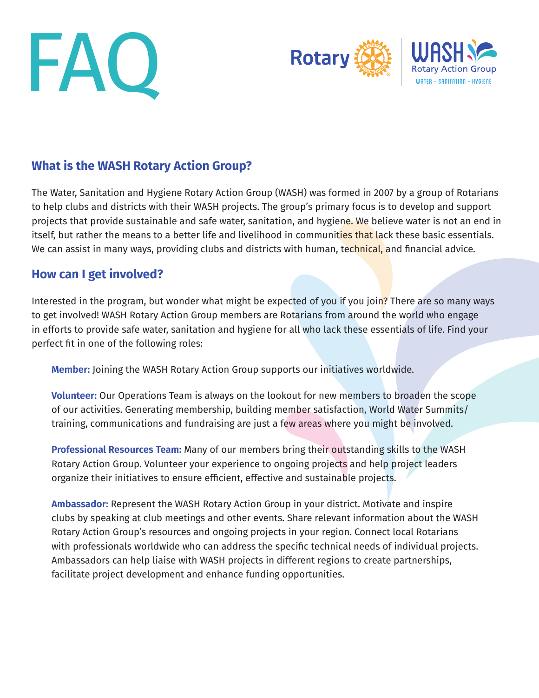



# **What is the WASH Rotary Action Group?**

The Water, Sanitation and Hygiene Rotary Action Group (WASH) was formed in 2007 by a group of Rotarians to help clubs and districts with their WASH projects. The group's primary focus is to develop and support projects that provide sustainable and safe water, sanitation, and hygiene. We believe water is not an end in itself, but rather the means to a better life and livelihood in communities that lack these basic essentials. We can assist in many ways, providing clubs and districts with human, technical, and financial advice.

### **How can I get involved?**

Interested in the program, but wonder what might be expected of you if you join? There are so many ways to get involved! WASH Rotary Action Group members are Rotarians from around the world who engage in efforts to provide safe water, sanitation and hygiene for all who lack these essentials of life. Find your perfect fit in one of the following roles:

**Member:** Joining the WASH Rotary Action Group supports our initiatives worldwide.

**Volunteer:** Our Operations Team is always on the lookout for new members to broaden the scope of our activities. Generating membership, building member satisfaction, World Water Summits/ training, communications and fundraising are just a few areas where you might be involved.

**Professional Resources Team:** Many of our members bring their outstanding skills to the WASH Rotary Action Group. Volunteer your experience to ongoing projects and help project leaders organize their initiatives to ensure efficient, effective and sustainable projects.

**Ambassador:** Represent the WASH Rotary Action Group in your district. Motivate and inspire clubs by speaking at club meetings and other events. Share relevant information about the WASH Rotary Action Group's resources and ongoing projects in your region. Connect local Rotarians with professionals worldwide who can address the specific technical needs of individual projects. Ambassadors can help liaise with WASH projects in different regions to create partnerships, facilitate project development and enhance funding opportunities.